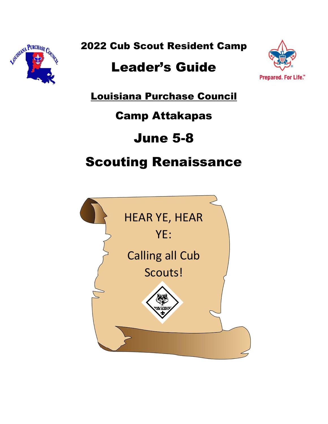

2022 Cub Scout Resident Camp

# Leader's Guide



Louisiana Purchase Council

# Camp Attakapas

# June 5-8

# Scouting Renaissance

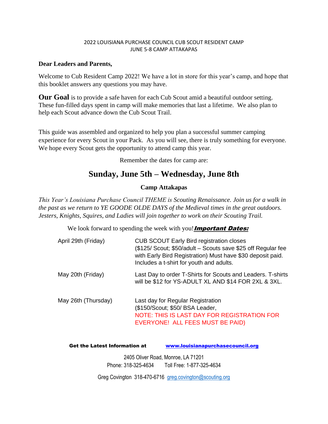#### 2022 LOUISIANA PURCHASE COUNCIL CUB SCOUT RESIDENT CAMP JUNE 5-8 CAMP ATTAKAPAS

#### **Dear Leaders and Parents,**

Welcome to Cub Resident Camp 2022! We have a lot in store for this year's camp, and hope that this booklet answers any questions you may have.

**Our Goal** is to provide a safe haven for each Cub Scout amid a beautiful outdoor setting. These fun-filled days spent in camp will make memories that last a lifetime. We also plan to help each Scout advance down the Cub Scout Trail.

This guide was assembled and organized to help you plan a successful summer camping experience for every Scout in your Pack. As you will see, there is truly something for everyone. We hope every Scout gets the opportunity to attend camp this year.

Remember the dates for camp are:

### **Sunday, June 5th – Wednesday, June 8th**

#### **Camp Attakapas**

*This Year's Louisiana Purchase Council THEME is Scouting Renaissance. Join us for a walk in the past as we return to YE GOODE OLDE DAYS of the Medieval times in the great outdoors. Jesters, Knights, Squires, and Ladies will join together to work on their Scouting Trail.*

We look forward to spending the week with you! **Important Dates:** 

| April 29th (Friday) | <b>CUB SCOUT Early Bird registration closes</b><br>(\$125/ Scout; \$50/adult - Scouts save \$25 off Regular fee<br>with Early Bird Registration) Must have \$30 deposit paid.<br>Includes a t-shirt for youth and adults. |
|---------------------|---------------------------------------------------------------------------------------------------------------------------------------------------------------------------------------------------------------------------|
| May 20th (Friday)   | Last Day to order T-Shirts for Scouts and Leaders. T-shirts<br>will be \$12 for YS-ADULT XL AND \$14 FOR 2XL & 3XL.                                                                                                       |
| May 26th (Thursday) | Last day for Regular Registration<br>(\$150/Scout; \$50/ BSA Leader,<br>NOTE: THIS IS LAST DAY FOR REGISTRATION FOR<br>EVERYONE! ALL FEES MUST BE PAID)                                                                   |

Get the Latest Information at [www.louisianapurchasecouncil.org](http://www.bsawintercamp.com/)

2405 Oliver Road, Monroe, LA 71201 Phone: 318-325-4634 Toll Free: 1-877-325-4634

Greg Covington 318-470-6716 [greg.covington@scouting.org](mailto:greg.covington@scouting.org)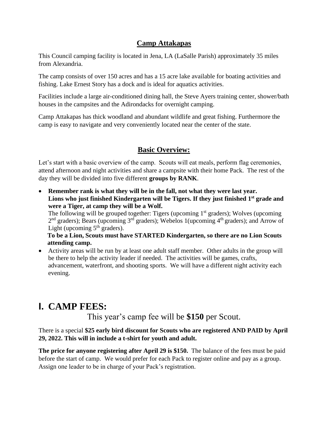### **Camp Attakapas**

This Council camping facility is located in Jena, LA (LaSalle Parish) approximately 35 miles from Alexandria.

The camp consists of over 150 acres and has a 15 acre lake available for boating activities and fishing. Lake Ernest Story has a dock and is ideal for aquatics activities.

Facilities include a large air-conditioned dining hall, the Steve Ayers training center, shower/bath houses in the campsites and the Adirondacks for overnight camping.

Camp Attakapas has thick woodland and abundant wildlife and great fishing. Furthermore the camp is easy to navigate and very conveniently located near the center of the state.

### **Basic Overview:**

Let's start with a basic overview of the camp. Scouts will eat meals, perform flag ceremonies, attend afternoon and night activities and share a campsite with their home Pack. The rest of the day they will be divided into five different **groups by RANK**.

• **Remember rank is what they will be in the fall, not what they were last year. Lions who just finished Kindergarten will be Tigers. If they just finished 1st grade and were a Tiger, at camp they will be a Wolf.**

The following will be grouped together: Tigers (upcoming  $1<sup>st</sup>$  graders); Wolves (upcoming 2<sup>nd</sup> graders); Bears (upcoming 3<sup>rd</sup> graders); Webelos 1(upcoming 4<sup>th</sup> graders); and Arrow of Light (upcoming  $5<sup>th</sup>$  graders).

**To be a Lion, Scouts must have STARTED Kindergarten, so there are no Lion Scouts attending camp.**

• Activity areas will be run by at least one adult staff member. Other adults in the group will be there to help the activity leader if needed. The activities will be games, crafts, advancement, waterfront, and shooting sports. We will have a different night activity each evening.

# **I. CAMP FEES:**

This year's camp fee will be **\$150** per Scout.

#### There is a special **\$25 early bird discount for Scouts who are registered AND PAID by April 29, 2022. This will in include a t-shirt for youth and adult.**

**The price for anyone registering after April 29 is \$150.** The balance of the fees must be paid before the start of camp. We would prefer for each Pack to register online and pay as a group. Assign one leader to be in charge of your Pack's registration.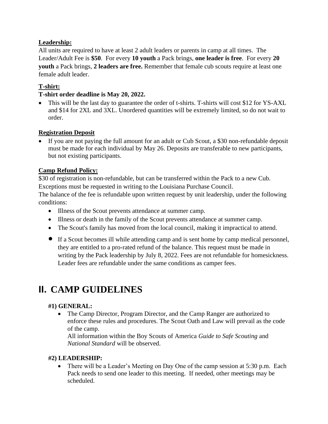#### **Leadership:**

All units are required to have at least 2 adult leaders or parents in camp at all times. The Leader/Adult Fee is **\$50**. For every **10 youth** a Pack brings, **one leader is free**. For every **20 youth** a Pack brings, **2 leaders are free.** Remember that female cub scouts require at least one female adult leader.

#### **T-shirt:**

#### **T-shirt order deadline is May 20, 2022.**

• This will be the last day to guarantee the order of t-shirts. T-shirts will cost \$12 for YS-AXL and \$14 for 2XL and 3XL. Unordered quantities will be extremely limited, so do not wait to order.

#### **Registration Deposit**

• If you are not paying the full amount for an adult or Cub Scout, a \$30 non-refundable deposit must be made for each individual by May 26. Deposits are transferable to new participants, but not existing participants.

#### **Camp Refund Policy:**

\$30 of registration is non-refundable, but can be transferred within the Pack to a new Cub. Exceptions must be requested in writing to the Louisiana Purchase Council.

The balance of the fee is refundable upon written request by unit leadership, under the following conditions:

- Illness of the Scout prevents attendance at summer camp.
- Illness or death in the family of the Scout prevents attendance at summer camp.
- The Scout's family has moved from the local council, making it impractical to attend.
- If a Scout becomes ill while attending camp and is sent home by camp medical personnel, they are entitled to a pro-rated refund of the balance. This request must be made in writing by the Pack leadership by July 8, 2022. Fees are not refundable for homesickness. Leader fees are refundable under the same conditions as camper fees.

### **II. CAMP GUIDELINES**

#### **#1) GENERAL:**

• The Camp Director, Program Director, and the Camp Ranger are authorized to enforce these rules and procedures. The Scout Oath and Law will prevail as the code of the camp.

All information within the Boy Scouts of America *Guide to Safe Scouting* and *National Standard* will be observed.

#### **#2) LEADERSHIP:**

• There will be a Leader's Meeting on Day One of the camp session at 5:30 p.m. Each Pack needs to send one leader to this meeting. If needed, other meetings may be scheduled.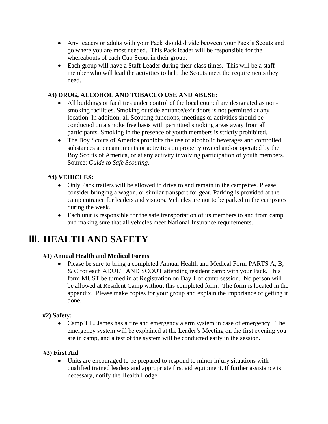- Any leaders or adults with your Pack should divide between your Pack's Scouts and go where you are most needed. This Pack leader will be responsible for the whereabouts of each Cub Scout in their group.
- Each group will have a Staff Leader during their class times. This will be a staff member who will lead the activities to help the Scouts meet the requirements they need.

#### **#3) DRUG, ALCOHOL AND TOBACCO USE AND ABUSE:**

- All buildings or facilities under control of the local council are designated as nonsmoking facilities. Smoking outside entrance/exit doors is not permitted at any location. In addition, all Scouting functions, meetings or activities should be conducted on a smoke free basis with permitted smoking areas away from all participants. Smoking in the presence of youth members is strictly prohibited.
- The Boy Scouts of America prohibits the use of alcoholic beverages and controlled substances at encampments or activities on property owned and/or operated by the Boy Scouts of America, or at any activity involving participation of youth members. Source: *Guide to Safe Scouting*.

#### **#4) VEHICLES:**

- Only Pack trailers will be allowed to drive to and remain in the campsites. Please consider bringing a wagon, or similar transport for gear. Parking is provided at the camp entrance for leaders and visitors. Vehicles are not to be parked in the campsites during the week.
- Each unit is responsible for the safe transportation of its members to and from camp, and making sure that all vehicles meet National Insurance requirements.

# **III. HEALTH AND SAFETY**

#### **#1) Annual Health and Medical Forms**

• Please be sure to bring a completed Annual Health and Medical Form PARTS A, B, & C for each ADULT AND SCOUT attending resident camp with your Pack. This form MUST be turned in at Registration on Day 1 of camp session. No person will be allowed at Resident Camp without this completed form. The form is located in the appendix. Please make copies for your group and explain the importance of getting it done.

#### **#2) Safety:**

• Camp T.L. James has a fire and emergency alarm system in case of emergency. The emergency system will be explained at the Leader's Meeting on the first evening you are in camp, and a test of the system will be conducted early in the session.

#### **#3) First Aid**

• Units are encouraged to be prepared to respond to minor injury situations with qualified trained leaders and appropriate first aid equipment. If further assistance is necessary, notify the Health Lodge.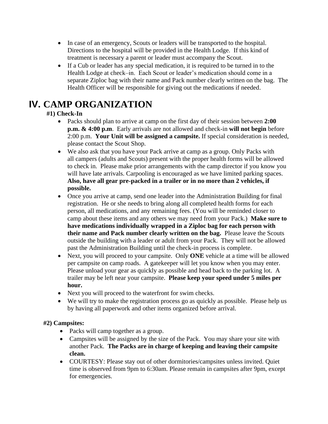- In case of an emergency, Scouts or leaders will be transported to the hospital. Directions to the hospital will be provided in the Health Lodge. If this kind of treatment is necessary a parent or leader must accompany the Scout.
- If a Cub or leader has any special medication, it is required to be turned in to the Health Lodge at check–in. Each Scout or leader's medication should come in a separate Ziploc bag with their name and Pack number clearly written on the bag. The Health Officer will be responsible for giving out the medications if needed.

# **IV. CAMP ORGANIZATION**

### **#1) Check-In**

- Packs should plan to arrive at camp on the first day of their session between **2:00 p.m. & 4:00 p.m**. Early arrivals are not allowed and check-in **will not begin** before 2:00 p.m. **Your Unit will be assigned a campsite.** If special consideration is needed, please contact the Scout Shop.
- We also ask that you have your Pack arrive at camp as a group. Only Packs with all campers (adults and Scouts) present with the proper health forms will be allowed to check in. Please make prior arrangements with the camp director if you know you will have late arrivals. Carpooling is encouraged as we have limited parking spaces. **Also, have all gear pre-packed in a trailer or in no more than 2 vehicles, if possible.**
- Once you arrive at camp, send one leader into the Administration Building for final registration. He or she needs to bring along all completed health forms for each person, all medications, and any remaining fees. (You will be reminded closer to camp about these items and any others we may need from your Pack.) **Make sure to have medications individually wrapped in a Ziploc bag for each person with their name and Pack number clearly written on the bag.** Please leave the Scouts outside the building with a leader or adult from your Pack. They will not be allowed past the Administration Building until the check-in process is complete.
- Next, you will proceed to your campsite. Only **ONE** vehicle at a time will be allowed per campsite on camp roads. A gatekeeper will let you know when you may enter. Please unload your gear as quickly as possible and head back to the parking lot. A trailer may be left near your campsite. **Please keep your speed under 5 miles per hour.**
- Next you will proceed to the waterfront for swim checks.
- We will try to make the registration process go as quickly as possible. Please help us by having all paperwork and other items organized before arrival.

### **#2) Campsites:**

- Packs will camp together as a group.
- Campsites will be assigned by the size of the Pack. You may share your site with another Pack. **The Packs are in charge of keeping and leaving their campsite clean.**
- COURTESY: Please stay out of other dormitories/campsites unless invited. Quiet time is observed from 9pm to 6:30am. Please remain in campsites after 9pm, except for emergencies.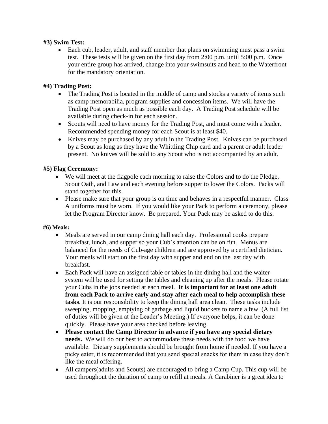#### **#3) Swim Test:**

• Each cub, leader, adult, and staff member that plans on swimming must pass a swim test. These tests will be given on the first day from 2:00 p.m. until 5:00 p.m. Once your entire group has arrived, change into your swimsuits and head to the Waterfront for the mandatory orientation.

#### **#4) Trading Post:**

- The Trading Post is located in the middle of camp and stocks a variety of items such as camp memorabilia, program supplies and concession items. We will have the Trading Post open as much as possible each day. A Trading Post schedule will be available during check-in for each session.
- Scouts will need to have money for the Trading Post, and must come with a leader. Recommended spending money for each Scout is at least \$40.
- Knives may be purchased by any adult in the Trading Post. Knives can be purchased by a Scout as long as they have the Whittling Chip card and a parent or adult leader present. No knives will be sold to any Scout who is not accompanied by an adult.

#### **#5) Flag Ceremony:**

- We will meet at the flagpole each morning to raise the Colors and to do the Pledge, Scout Oath, and Law and each evening before supper to lower the Colors. Packs will stand together for this.
- Please make sure that your group is on time and behaves in a respectful manner. Class A uniforms must be worn. If you would like your Pack to perform a ceremony, please let the Program Director know. Be prepared. Your Pack may be asked to do this.

#### **#6) Meals:**

- Meals are served in our camp dining hall each day. Professional cooks prepare breakfast, lunch, and supper so your Cub's attention can be on fun. Menus are balanced for the needs of Cub-age children and are approved by a certified dietician. Your meals will start on the first day with supper and end on the last day with breakfast.
- Each Pack will have an assigned table or tables in the dining hall and the waiter system will be used for setting the tables and cleaning up after the meals. Please rotate your Cubs in the jobs needed at each meal. **It is important for at least one adult from each Pack to arrive early and stay after each meal to help accomplish these tasks**. It is our responsibility to keep the dining hall area clean. These tasks include sweeping, mopping, emptying of garbage and liquid buckets to name a few. (A full list of duties will be given at the Leader's Meeting.) If everyone helps, it can be done quickly. Please have your area checked before leaving.
- **Please contact the Camp Director in advance if you have any special dietary needs.** We will do our best to accommodate these needs with the food we have available. Dietary supplements should be brought from home if needed. If you have a picky eater, it is recommended that you send special snacks for them in case they don't like the meal offering.
- All campers(adults and Scouts) are encouraged to bring a Camp Cup. This cup will be used throughout the duration of camp to refill at meals. A Carabiner is a great idea to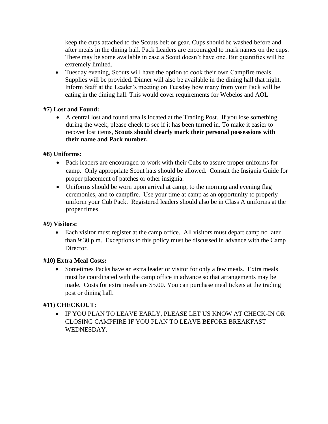keep the cups attached to the Scouts belt or gear. Cups should be washed before and after meals in the dining hall. Pack Leaders are encouraged to mark names on the cups. There may be some available in case a Scout doesn't have one. But quantifies will be extremely limited.

• Tuesday evening, Scouts will have the option to cook their own Campfire meals. Supplies will be provided. Dinner will also be available in the dining hall that night. Inform Staff at the Leader's meeting on Tuesday how many from your Pack will be eating in the dining hall. This would cover requirements for Webelos and AOL

#### **#7) Lost and Found:**

• A central lost and found area is located at the Trading Post. If you lose something during the week, please check to see if it has been turned in. To make it easier to recover lost items, **Scouts should clearly mark their personal possessions with their name and Pack number.**

#### **#8) Uniforms:**

- Pack leaders are encouraged to work with their Cubs to assure proper uniforms for camp. Only appropriate Scout hats should be allowed. Consult the Insignia Guide for proper placement of patches or other insignia.
- Uniforms should be worn upon arrival at camp, to the morning and evening flag ceremonies, and to campfire. Use your time at camp as an opportunity to properly uniform your Cub Pack. Registered leaders should also be in Class A uniforms at the proper times.

#### **#9) Visitors:**

• Each visitor must register at the camp office. All visitors must depart camp no later than 9:30 p.m. Exceptions to this policy must be discussed in advance with the Camp Director.

#### **#10) Extra Meal Costs:**

• Sometimes Packs have an extra leader or visitor for only a few meals. Extra meals must be coordinated with the camp office in advance so that arrangements may be made. Costs for extra meals are \$5.00. You can purchase meal tickets at the trading post or dining hall.

#### **#11) CHECKOUT:**

• IF YOU PLAN TO LEAVE EARLY, PLEASE LET US KNOW AT CHECK-IN OR CLOSING CAMPFIRE IF YOU PLAN TO LEAVE BEFORE BREAKFAST WEDNESDAY.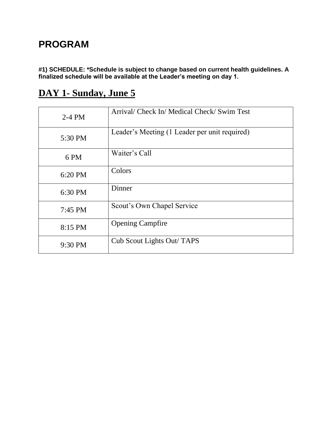# **PROGRAM**

**#1) SCHEDULE: \*Schedule is subject to change based on current health guidelines. A finalized schedule will be available at the Leader's meeting on day 1.**

# **DAY 1- Sunday, June 5**

| $2-4$ PM | Arrival/ Check In/ Medical Check/ Swim Test   |
|----------|-----------------------------------------------|
| 5:30 PM  | Leader's Meeting (1 Leader per unit required) |
| 6 PM     | Waiter's Call                                 |
| 6:20 PM  | Colors                                        |
| 6:30 PM  | Dinner                                        |
| 7:45 PM  | Scout's Own Chapel Service                    |
| 8:15 PM  | <b>Opening Campfire</b>                       |
| 9:30 PM  | Cub Scout Lights Out/ TAPS                    |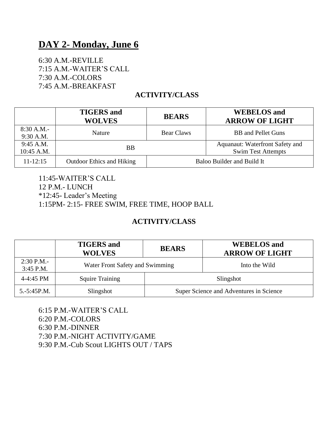## **DAY 2- Monday, June 6**

6:30 A.M.-REVILLE 7:15 A.M.-WAITER'S CALL 7:30 A.M.-COLORS 7:45 A.M.-BREAKFAST

### **ACTIVITY/CLASS**

|                         | <b>TIGERS</b> and<br><b>WOLVES</b> | <b>BEARS</b>      | <b>WEBELOS</b> and<br><b>ARROW OF LIGHT</b>                  |
|-------------------------|------------------------------------|-------------------|--------------------------------------------------------------|
| 8:30 A.M.<br>9:30 A.M.  | Nature                             | <b>Bear Claws</b> | <b>BB</b> and Pellet Guns                                    |
| 9:45 A.M.<br>10:45 A.M. | ВB                                 |                   | Aquanaut: Waterfront Safety and<br><b>Swim Test Attempts</b> |
| $11 - 12:15$            | <b>Outdoor Ethics and Hiking</b>   |                   | Baloo Builder and Build It                                   |

11:45-WAITER'S CALL 12 P.M.- LUNCH \*12:45- Leader's Meeting 1:15PM- 2:15- FREE SWIM, FREE TIME, HOOP BALL

### **ACTIVITY/CLASS**

|                             | <b>TIGERS</b> and<br><b>WOLVES</b> | <b>BEARS</b> | <b>WEBELOS</b> and<br><b>ARROW OF LIGHT</b> |
|-----------------------------|------------------------------------|--------------|---------------------------------------------|
| $2:30$ P.M.-<br>$3:45$ P.M. | Water Front Safety and Swimming    |              | Into the Wild                               |
| 4-4:45 PM                   | <b>Squire Training</b>             |              | Slingshot                                   |
| $5.-5:45P.M.$               | Slingshot                          |              | Super Science and Adventures in Science     |

6:15 P.M.-WAITER'S CALL 6:20 P.M.-COLORS 6:30 P.M.-DINNER 7:30 P.M.-NIGHT ACTIVITY/GAME 9:30 P.M.-Cub Scout LIGHTS OUT / TAPS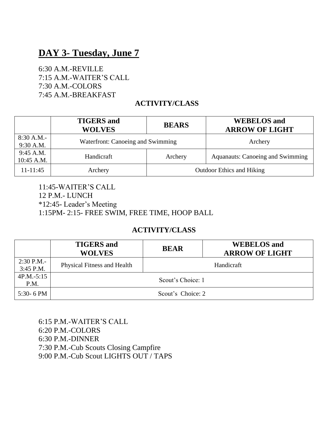## **DAY 3- Tuesday, June 7**

6:30 A.M.-REVILLE 7:15 A.M.-WAITER'S CALL 7:30 A.M.-COLORS 7:45 A.M.-BREAKFAST

### **ACTIVITY/CLASS**

|                         | <b>TIGERS</b> and<br><b>WOLVES</b> | <b>BEARS</b> | <b>WEBELOS</b> and<br><b>ARROW OF LIGHT</b> |
|-------------------------|------------------------------------|--------------|---------------------------------------------|
| 8:30 A.M.<br>9:30 A.M.  | Waterfront: Canoeing and Swimming  |              | Archery                                     |
| 9:45 A.M.<br>10:45 A.M. | Handicraft                         | Archery      | <b>Aquanauts: Canoeing and Swimming</b>     |
| $11 - 11:45$            | Archery                            |              | <b>Outdoor Ethics and Hiking</b>            |

11:45-WAITER'S CALL 12 P.M.- LUNCH \*12:45- Leader's Meeting 1:15PM- 2:15- FREE SWIM, FREE TIME, HOOP BALL

### **ACTIVITY/CLASS**

|                             | <b>TIGERS</b> and<br><b>WOLVES</b> | <b>BEAR</b>       | <b>WEBELOS</b> and<br><b>ARROW OF LIGHT</b> |
|-----------------------------|------------------------------------|-------------------|---------------------------------------------|
| $2:30$ P.M.-<br>$3:45$ P.M. | Physical Fitness and Health        |                   | Handicraft                                  |
| $4P.M.-5:15$<br>P.M.        |                                    | Scout's Choice: 1 |                                             |
| 5:30- 6 PM                  | Scout's Choice: 2                  |                   |                                             |

6:15 P.M.-WAITER'S CALL 6:20 P.M.-COLORS 6:30 P.M.-DINNER 7:30 P.M.-Cub Scouts Closing Campfire 9:00 P.M.-Cub Scout LIGHTS OUT / TAPS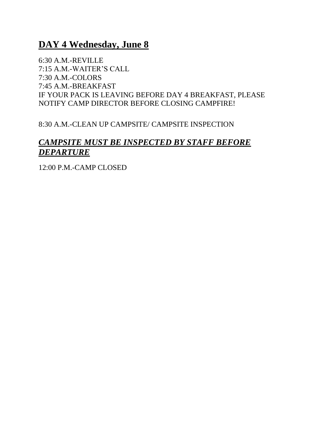## **DAY 4 Wednesday, June 8**

6:30 A.M.-REVILLE 7:15 A.M.-WAITER'S CALL 7:30 A.M.-COLORS 7:45 A.M.-BREAKFAST IF YOUR PACK IS LEAVING BEFORE DAY 4 BREAKFAST, PLEASE NOTIFY CAMP DIRECTOR BEFORE CLOSING CAMPFIRE!

8:30 A.M.-CLEAN UP CAMPSITE/ CAMPSITE INSPECTION

### *CAMPSITE MUST BE INSPECTED BY STAFF BEFORE DEPARTURE*

12:00 P.M.-CAMP CLOSED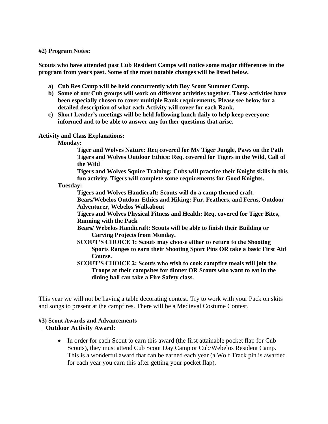**#2) Program Notes:**

**Scouts who have attended past Cub Resident Camps will notice some major differences in the program from years past. Some of the most notable changes will be listed below.**

- **a) Cub Res Camp will be held concurrently with Boy Scout Summer Camp.**
- **b) Some of our Cub groups will work on different activities together. These activities have been especially chosen to cover multiple Rank requirements. Please see below for a detailed description of what each Activity will cover for each Rank.**
- **c) Short Leader's meetings will be held following lunch daily to help keep everyone informed and to be able to answer any further questions that arise.**

**Activity and Class Explanations:**

**Monday:**

**Tiger and Wolves Nature: Req covered for My Tiger Jungle, Paws on the Path Tigers and Wolves Outdoor Ethics: Req. covered for Tigers in the Wild, Call of the Wild**

**Tigers and Wolves Squire Training: Cubs will practice their Knight skills in this fun activity. Tigers will complete some requirements for Good Knights.**

**Tuesday:**

**Tigers and Wolves Handicraft: Scouts will do a camp themed craft.**

**Bears/Webelos Outdoor Ethics and Hiking: Fur, Feathers, and Ferns, Outdoor Adventurer, Webelos Walkabout**

**Tigers and Wolves Physical Fitness and Health: Req. covered for Tiger Bites, Running with the Pack**

**Bears/ Webelos Handicraft: Scouts will be able to finish their Building or Carving Projects from Monday.**

- **SCOUT'S CHOICE 1: Scouts may choose either to return to the Shooting Sports Ranges to earn their Shooting Sport Pins OR take a basic First Aid Course.**
- **SCOUT'S CHOICE 2: Scouts who wish to cook campfire meals will join the Troops at their campsites for dinner OR Scouts who want to eat in the dining hall can take a Fire Safety class.**

This year we will not be having a table decorating contest. Try to work with your Pack on skits and songs to present at the campfires. There will be a Medieval Costume Contest.

#### **#3) Scout Awards and Advancements** **Outdoor Activity Award:**

• In order for each Scout to earn this award (the first attainable pocket flap for Cub Scouts), they must attend Cub Scout Day Camp or Cub/Webelos Resident Camp. This is a wonderful award that can be earned each year (a Wolf Track pin is awarded for each year you earn this after getting your pocket flap).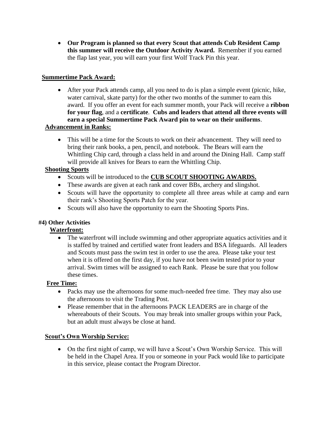• **Our Program is planned so that every Scout that attends Cub Resident Camp this summer will receive the Outdoor Activity Award.** Remember if you earned the flap last year, you will earn your first Wolf Track Pin this year.

#### **Summertime Pack Award:**

- After your Pack attends camp, all you need to do is plan a simple event (picnic, hike, water carnival, skate party) for the other two months of the summer to earn this award. If you offer an event for each summer month, your Pack will receive a **ribbon for your flag**, and a **certificate**. **Cubs and leaders that attend all three events will earn a special Summertime Pack Award pin to wear on their uniforms**.  **Advancement in Ranks:**
	- This will be a time for the Scouts to work on their advancement. They will need to bring their rank books, a pen, pencil, and notebook. The Bears will earn the Whittling Chip card, through a class held in and around the Dining Hall. Camp staff will provide all knives for Bears to earn the Whittling Chip.

#### **Shooting Sports**

- Scouts will be introduced to the **CUB SCOUT SHOOTING AWARDS.**
- These awards are given at each rank and cover BBs, archery and slingshot.
- Scouts will have the opportunity to complete all three areas while at camp and earn their rank's Shooting Sports Patch for the year.
- Scouts will also have the opportunity to earn the Shooting Sports Pins.

#### **#4) Other Activities**

#### **Waterfront:**

• The waterfront will include swimming and other appropriate aquatics activities and it is staffed by trained and certified water front leaders and BSA lifeguards. All leaders and Scouts must pass the swim test in order to use the area. Please take your test when it is offered on the first day, if you have not been swim tested prior to your arrival. Swim times will be assigned to each Rank. Please be sure that you follow these times.

#### **Free Time:**

- Packs may use the afternoons for some much-needed free time. They may also use the afternoons to visit the Trading Post.
- Please remember that in the afternoons PACK LEADERS are in charge of the whereabouts of their Scouts. You may break into smaller groups within your Pack, but an adult must always be close at hand.

#### **Scout's Own Worship Service:**

• On the first night of camp, we will have a Scout's Own Worship Service. This will be held in the Chapel Area. If you or someone in your Pack would like to participate in this service, please contact the Program Director.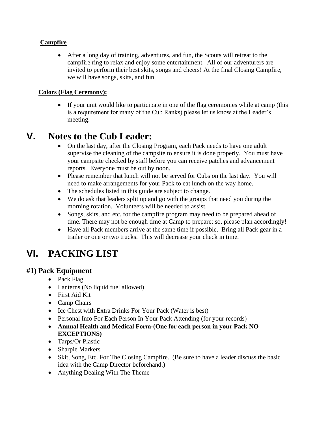#### **Campfire**

• After a long day of training, adventures, and fun, the Scouts will retreat to the campfire ring to relax and enjoy some entertainment. All of our adventurers are invited to perform their best skits, songs and cheers! At the final Closing Campfire, we will have songs, skits, and fun.

#### **Colors (Flag Ceremony):**

• If your unit would like to participate in one of the flag ceremonies while at camp (this is a requirement for many of the Cub Ranks) please let us know at the Leader's meeting.

## **V. Notes to the Cub Leader:**

- On the last day, after the Closing Program, each Pack needs to have one adult supervise the cleaning of the campsite to ensure it is done properly. You must have your campsite checked by staff before you can receive patches and advancement reports. Everyone must be out by noon.
- Please remember that lunch will not be served for Cubs on the last day. You will need to make arrangements for your Pack to eat lunch on the way home.
- The schedules listed in this guide are subject to change.
- We do ask that leaders split up and go with the groups that need you during the morning rotation. Volunteers will be needed to assist.
- Songs, skits, and etc. for the campfire program may need to be prepared ahead of time. There may not be enough time at Camp to prepare; so, please plan accordingly!
- Have all Pack members arrive at the same time if possible. Bring all Pack gear in a trailer or one or two trucks. This will decrease your check in time.

# **VI. PACKING LIST**

### **#1) Pack Equipment**

- Pack Flag
- Lanterns (No liquid fuel allowed)
- First Aid Kit
- Camp Chairs
- Ice Chest with Extra Drinks For Your Pack (Water is best)
- Personal Info For Each Person In Your Pack Attending (for your records)
- **Annual Health and Medical Form-(One for each person in your Pack NO EXCEPTIONS)**
- Tarps/Or Plastic
- Sharpie Markers
- Skit, Song, Etc. For The Closing Campfire. (Be sure to have a leader discuss the basic idea with the Camp Director beforehand.)
- Anything Dealing With The Theme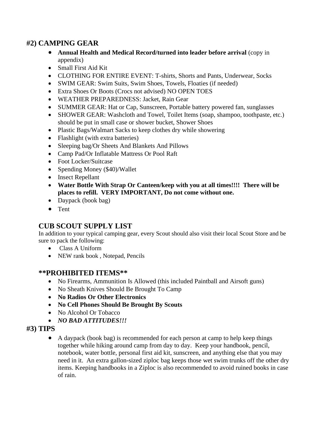### **#2) CAMPING GEAR**

- **Annual Health and Medical Record/turned into leader before arrival** (copy in appendix)
- Small First Aid Kit
- CLOTHING FOR ENTIRE EVENT: T-shirts, Shorts and Pants, Underwear, Socks
- SWIM GEAR: Swim Suits, Swim Shoes, Towels, Floaties (if needed)
- Extra Shoes Or Boots (Crocs not advised) NO OPEN TOES
- WEATHER PREPAREDNESS: Jacket, Rain Gear
- SUMMER GEAR: Hat or Cap, Sunscreen, Portable battery powered fan, sunglasses
- SHOWER GEAR: Washcloth and Towel, Toilet Items (soap, shampoo, toothpaste, etc.) should be put in small case or shower bucket, Shower Shoes
- Plastic Bags/Walmart Sacks to keep clothes dry while showering
- Flashlight (with extra batteries)
- Sleeping bag/Or Sheets And Blankets And Pillows
- Camp Pad/Or Inflatable Mattress Or Pool Raft
- Foot Locker/Suitcase
- Spending Money (\$40)/Wallet
- Insect Repellant
- **Water Bottle With Strap Or Canteen/keep with you at all times!!!! There will be places to refill. VERY IMPORTANT, Do not come without one.**
- Daypack (book bag)
- Tent

### **CUB SCOUT SUPPLY LIST**

In addition to your typical camping gear, every Scout should also visit their local Scout Store and be sure to pack the following:

- Class A Uniform
- NEW rank book , Notepad, Pencils

#### **\*\*PROHIBITED ITEMS\*\***

- No Firearms, Ammunition Is Allowed (this included Paintball and Airsoft guns)
- No Sheath Knives Should Be Brought To Camp
- **No Radios Or Other Electronics**
- **No Cell Phones Should Be Brought By Scouts**
- No Alcohol Or Tobacco
- *NO BAD ATTITUDES!!!*

#### **#3) TIPS**

• A daypack (book bag) is recommended for each person at camp to help keep things together while hiking around camp from day to day. Keep your handbook, pencil, notebook, water bottle, personal first aid kit, sunscreen, and anything else that you may need in it. An extra gallon-sized ziploc bag keeps those wet swim trunks off the other dry items. Keeping handbooks in a Ziploc is also recommended to avoid ruined books in case of rain.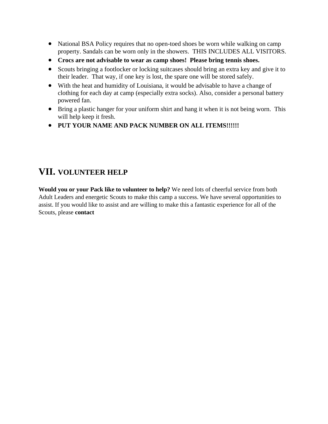- National BSA Policy requires that no open-toed shoes be worn while walking on camp property. Sandals can be worn only in the showers. THIS INCLUDES ALL VISITORS.
- **Crocs are not advisable to wear as camp shoes! Please bring tennis shoes.**
- Scouts bringing a footlocker or locking suitcases should bring an extra key and give it to their leader. That way, if one key is lost, the spare one will be stored safely.
- With the heat and humidity of Louisiana, it would be advisable to have a change of clothing for each day at camp (especially extra socks). Also, consider a personal battery powered fan.
- Bring a plastic hanger for your uniform shirt and hang it when it is not being worn. This will help keep it fresh.
- **PUT YOUR NAME AND PACK NUMBER ON ALL ITEMS!!!!!!**

### **VII. VOLUNTEER HELP**

**Would you or your Pack like to volunteer to help?** We need lots of cheerful service from both Adult Leaders and energetic Scouts to make this camp a success. We have several opportunities to assist. If you would like to assist and are willing to make this a fantastic experience for all of the Scouts, please **contact**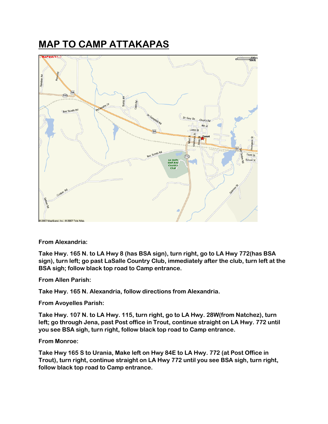# **MAP TO CAMP ATTAKAPAS**



#### **From Alexandria:**

**Take Hwy. 165 N. to LA Hwy 8 (has BSA sign), turn right, go to LA Hwy 772(has BSA sign), turn left; go past LaSalle Country Club, immediately after the club, turn left at the BSA sigh; follow black top road to Camp entrance.**

**From Allen Parish:**

**Take Hwy. 165 N. Alexandria, follow directions from Alexandria.**

**From Avoyelles Parish:**

**Take Hwy. 107 N. to LA Hwy. 115, turn right, go to LA Hwy. 28W(from Natchez), turn left; go through Jena, past Post office in Trout, continue straight on LA Hwy. 772 until you see BSA sigh, turn right, follow black top road to Camp entrance.**

#### **From Monroe:**

**Take Hwy 165 S to Urania, Make left on Hwy 84E to LA Hwy. 772 (at Post Office in Trout), turn right, continue straight on LA Hwy 772 until you see BSA sigh, turn right, follow black top road to Camp entrance.**